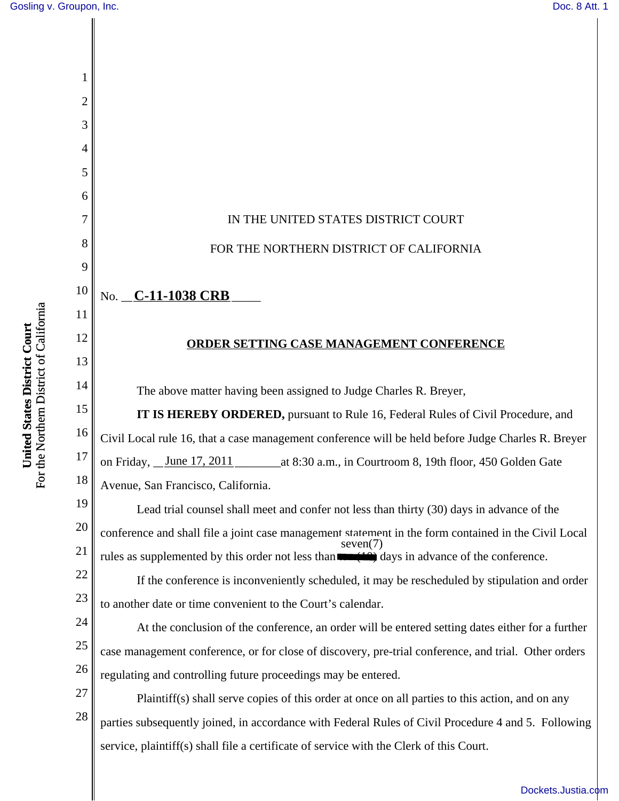

[Dockets.Justia.com](http://dockets.justia.com/)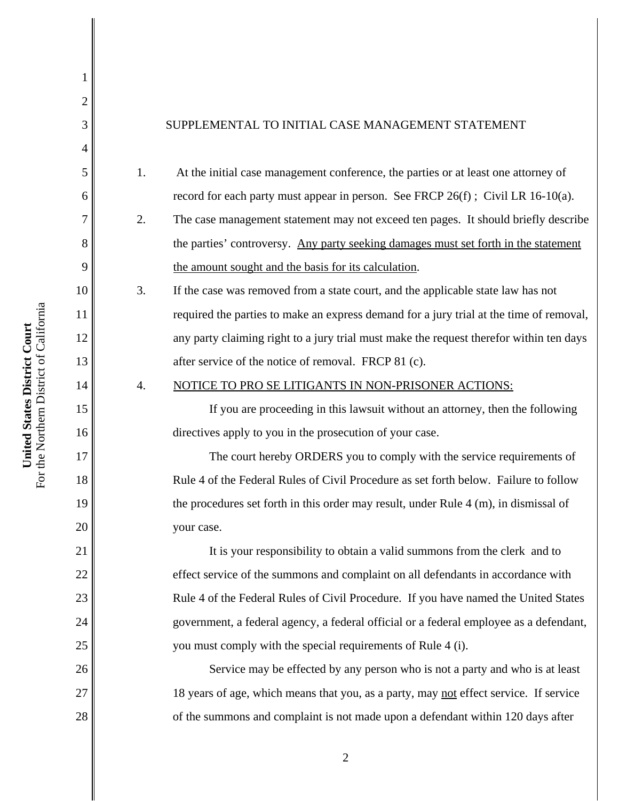| For the Northern District of Californ:<br>United States District Court |                        |  |
|------------------------------------------------------------------------|------------------------|--|
|                                                                        |                        |  |
|                                                                        |                        |  |
|                                                                        | 6<br>7<br>8<br>9<br>10 |  |
|                                                                        |                        |  |
|                                                                        | $\frac{1}{1}$          |  |
|                                                                        | $\overline{12}$        |  |
|                                                                        |                        |  |
|                                                                        | 13<br>14               |  |
|                                                                        | 15                     |  |
|                                                                        | 16                     |  |
|                                                                        | $\frac{17}{1}$         |  |
|                                                                        | 18                     |  |
|                                                                        |                        |  |
|                                                                        | $\frac{19}{20}$        |  |
|                                                                        |                        |  |
|                                                                        |                        |  |

22

23

24

25

26

27

28

1

2

3

4

5

## SUPPLEMENTAL TO INITIAL CASE MANAGEMENT STATEMENT

- 1. At the initial case management conference, the parties or at least one attorney of record for each party must appear in person. See FRCP  $26(f)$ ; Civil LR 16-10(a).
- 2. The case management statement may not exceed ten pages. It should briefly describe the parties' controversy. Any party seeking damages must set forth in the statement the amount sought and the basis for its calculation.
- 3. If the case was removed from a state court, and the applicable state law has not required the parties to make an express demand for a jury trial at the time of removal, any party claiming right to a jury trial must make the request therefor within ten days after service of the notice of removal. FRCP 81 (c).

## 4. NOTICE TO PRO SE LITIGANTS IN NON-PRISONER ACTIONS:

If you are proceeding in this lawsuit without an attorney, then the following directives apply to you in the prosecution of your case.

The court hereby ORDERS you to comply with the service requirements of Rule 4 of the Federal Rules of Civil Procedure as set forth below. Failure to follow the procedures set forth in this order may result, under Rule 4 (m), in dismissal of your case.

It is your responsibility to obtain a valid summons from the clerk and to effect service of the summons and complaint on all defendants in accordance with Rule 4 of the Federal Rules of Civil Procedure. If you have named the United States government, a federal agency, a federal official or a federal employee as a defendant, you must comply with the special requirements of Rule 4 (i).

 Service may be effected by any person who is not a party and who is at least 18 years of age, which means that you, as a party, may not effect service. If service of the summons and complaint is not made upon a defendant within 120 days after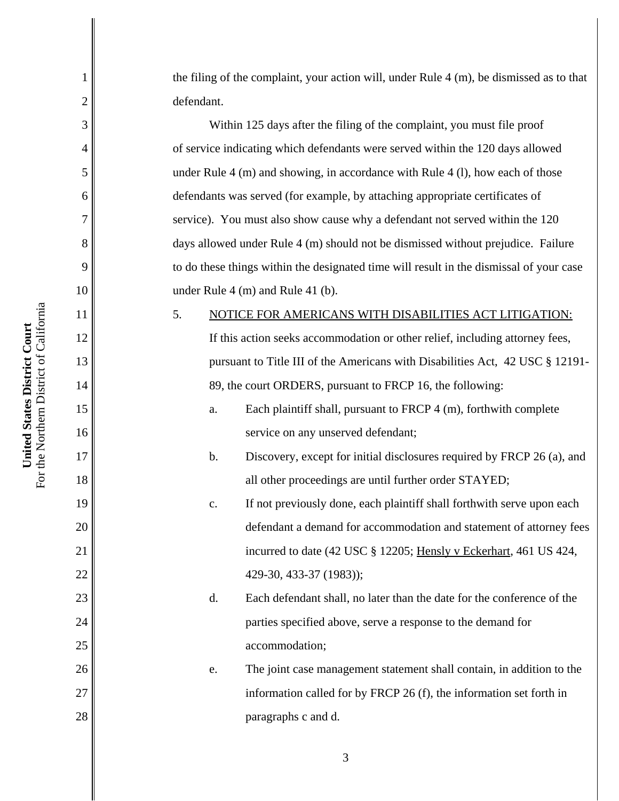the filing of the complaint, your action will, under Rule 4 (m), be dismissed as to that defendant.

Within 125 days after the filing of the complaint, you must file proof of service indicating which defendants were served within the 120 days allowed under Rule 4 (m) and showing, in accordance with Rule 4 (l), how each of those defendants was served (for example, by attaching appropriate certificates of service). You must also show cause why a defendant not served within the 120 days allowed under Rule 4 (m) should not be dismissed without prejudice. Failure to do these things within the designated time will result in the dismissal of your case under Rule 4 (m) and Rule 41 (b).

5. NOTICE FOR AMERICANS WITH DISABILITIES ACT LITIGATION: If this action seeks accommodation or other relief, including attorney fees, pursuant to Title III of the Americans with Disabilities Act, 42 USC § 12191- 89, the court ORDERS, pursuant to FRCP 16, the following:

- a. Each plaintiff shall, pursuant to FRCP 4 (m), forthwith complete service on any unserved defendant;
- b. Discovery, except for initial disclosures required by FRCP 26 (a), and all other proceedings are until further order STAYED;
- c. If not previously done, each plaintiff shall forthwith serve upon each defendant a demand for accommodation and statement of attorney fees incurred to date (42 USC § 12205; Hensly v Eckerhart, 461 US 424, 429-30, 433-37 (1983));
- d. Each defendant shall, no later than the date for the conference of the parties specified above, serve a response to the demand for accommodation;
- e. The joint case management statement shall contain, in addition to the information called for by FRCP 26 (f), the information set forth in paragraphs c and d.

1

2

3

4

5

6

7

8

9

10

11

12

13

14

15

16

17

18

19

20

21

22

23

24

25

26

27

28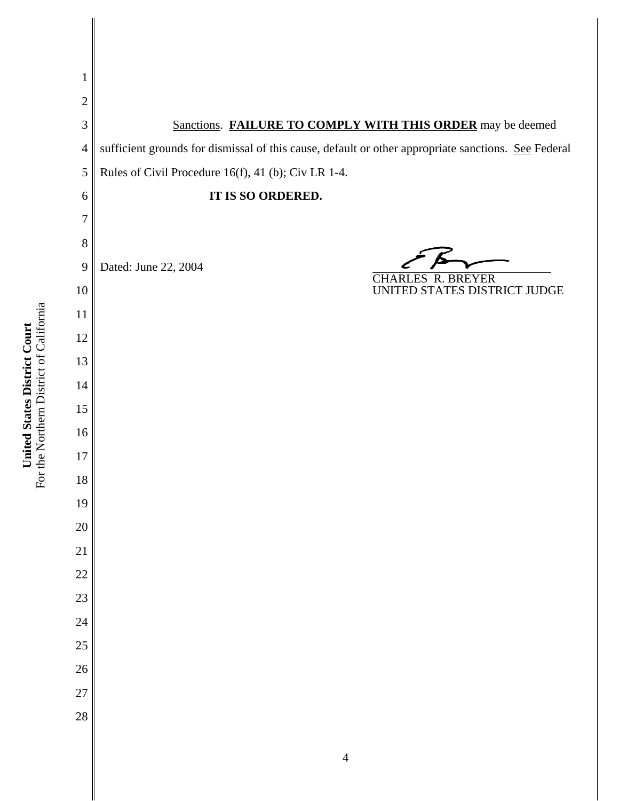Sanctions. **FAILURE TO COMPLY WITH THIS ORDER** may be deemed sufficient grounds for dismissal of this cause, default or other appropriate sanctions. See Federal Rules of Civil Procedure 16(f), 41 (b); Civ LR 1-4. **IT IS SO ORDERED.** Dated: June 22, 2004 CHARLES R. BREYER UNITED STATES DISTRICT JUDGE

For the Northern District of California For the Northern District of California United States District Court **United States District Court**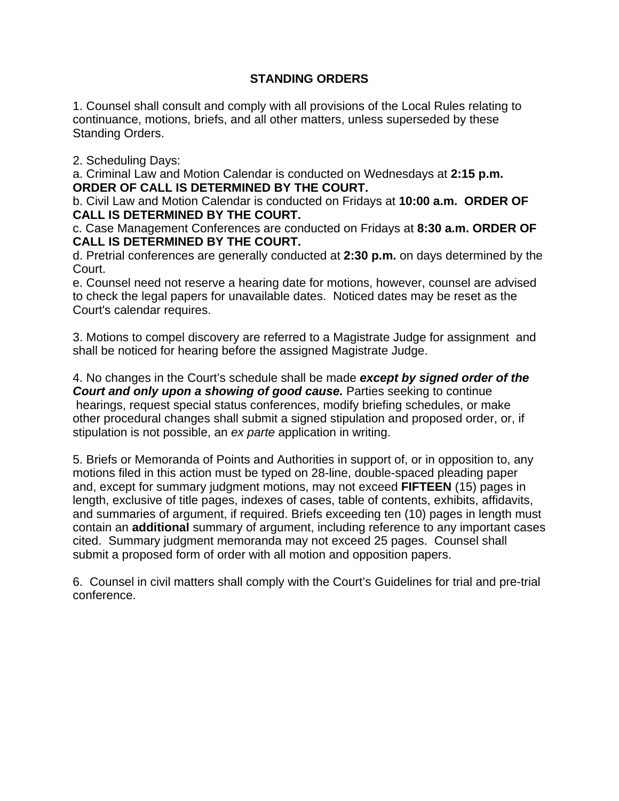## **STANDING ORDERS**

1. Counsel shall consult and comply with all provisions of the Local Rules relating to continuance, motions, briefs, and all other matters, unless superseded by these Standing Orders.

2. Scheduling Days:

a. Criminal Law and Motion Calendar is conducted on Wednesdays at **2:15 p.m. ORDER OF CALL IS DETERMINED BY THE COURT.**

b. Civil Law and Motion Calendar is conducted on Fridays at **10:00 a.m. ORDER OF CALL IS DETERMINED BY THE COURT.**

c. Case Management Conferences are conducted on Fridays at **8:30 a.m. ORDER OF CALL IS DETERMINED BY THE COURT.** 

d. Pretrial conferences are generally conducted at **2:30 p.m.** on days determined by the Court.

e. Counsel need not reserve a hearing date for motions, however, counsel are advised to check the legal papers for unavailable dates. Noticed dates may be reset as the Court's calendar requires.

3. Motions to compel discovery are referred to a Magistrate Judge for assignment and shall be noticed for hearing before the assigned Magistrate Judge.

4. No changes in the Court's schedule shall be made *except by signed order of the* **Court and only upon a showing of good cause.** Parties seeking to continue hearings, request special status conferences, modify briefing schedules, or make other procedural changes shall submit a signed stipulation and proposed order, or, if stipulation is not possible, an *ex parte* application in writing.

5. Briefs or Memoranda of Points and Authorities in support of, or in opposition to, any motions filed in this action must be typed on 28-line, double-spaced pleading paper and, except for summary judgment motions, may not exceed **FIFTEEN** (15) pages in length, exclusive of title pages, indexes of cases, table of contents, exhibits, affidavits, and summaries of argument, if required. Briefs exceeding ten (10) pages in length must contain an **additional** summary of argument, including reference to any important cases cited. Summary judgment memoranda may not exceed 25 pages. Counsel shall submit a proposed form of order with all motion and opposition papers.

6. Counsel in civil matters shall comply with the Court's Guidelines for trial and pre-trial conference.